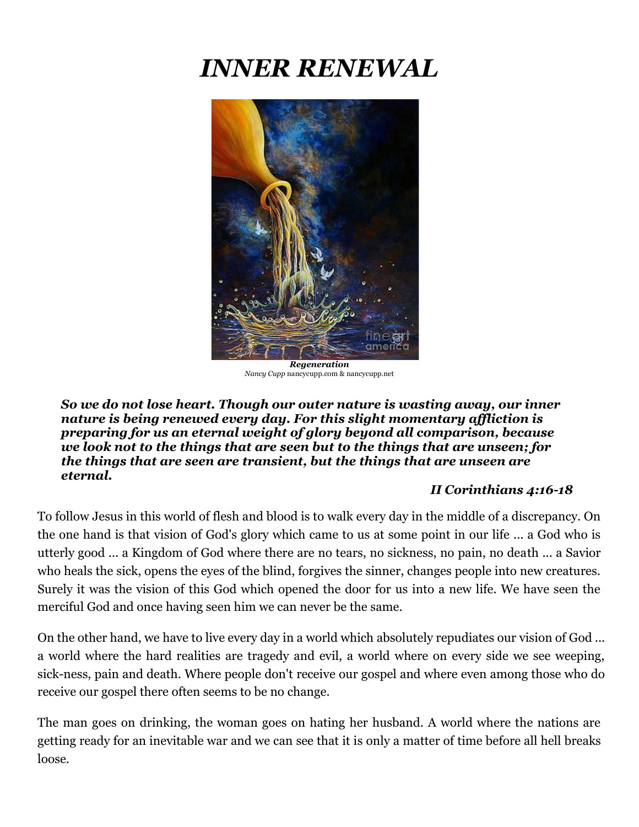# *INNER RENEWAL*



*Regeneration Nancy Cupp* [nancycupp.com](https://nancycupp.weebly.com/) [& nancycupp.net](https://nancy-cupp.pixels.com/)

*So we do not lose heart. Though our outer nature is wasting away, our inner nature is being renewed every day. For this slight momentary affliction is preparing for us an eternal weight of glory beyond all comparison, because we look not to the things that are seen but to the things that are unseen; for the things that are seen are transient, but the things that are unseen are eternal.* 

## *II Corinthians 4:16-18*

To follow Jesus in this world of flesh and blood is to walk every day in the middle of a discrepancy. On the one hand is that vision of God's glory which came to us at some point in our life ... a God who is utterly good ... a Kingdom of God where there are no tears, no sickness, no pain, no death ... a Savior who heals the sick, opens the eyes of the blind, forgives the sinner, changes people into new creatures. Surely it was the vision of this God which opened the door for us into a new life. We have seen the merciful God and once having seen him we can never be the same.

On the other hand, we have to live every day in a world which absolutely repudiates our vision of God ... a world where the hard realities are tragedy and evil, a world where on every side we see weeping, sick-ness, pain and death. Where people don't receive our gospel and where even among those who do receive our gospel there often seems to be no change.

The man goes on drinking, the woman goes on hating her husband. A world where the nations are getting ready for an inevitable war and we can see that it is only a matter of time before all hell breaks loose.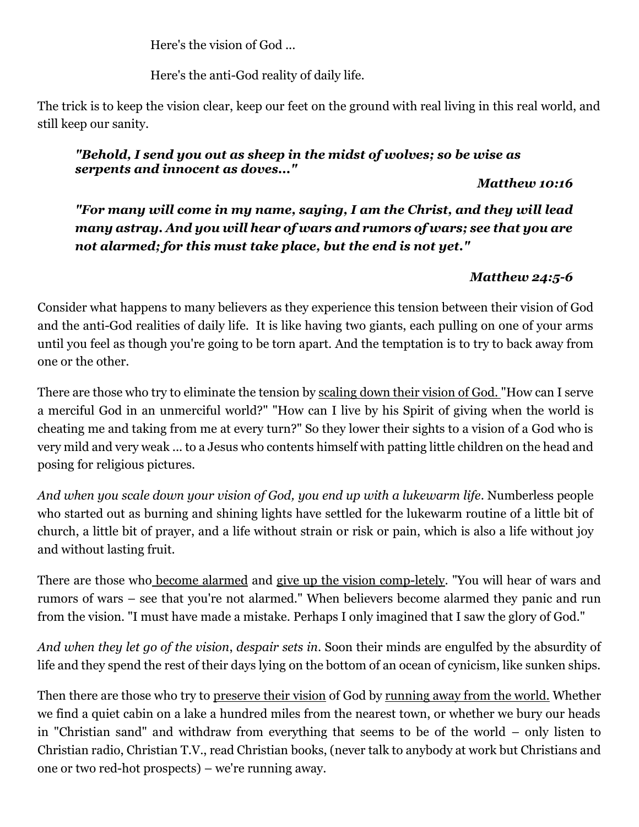Here's the vision of God ...

Here's the anti-God reality of daily life.

The trick is to keep the vision clear, keep our feet on the ground with real living in this real world, and still keep our sanity.

## *"Behold, I send you out as sheep in the midst of wolves; so be wise as serpents and innocent as doves..."*

## *Matthew 10:16*

*"For many will come in my name, saying, I am the Christ, and they will lead many astray. And you will hear of wars and rumors of wars; see that you are not alarmed; for this must take place, but the end is not yet."* 

## *Matthew 24:5-6*

Consider what happens to many believers as they experience this tension between their vision of God and the anti-God realities of daily life. It is like having two giants, each pulling on one of your arms until you feel as though you're going to be torn apart. And the temptation is to try to back away from one or the other.

There are those who try to eliminate the tension by scaling down their vision of God. "How can I serve a merciful God in an unmerciful world?" "How can I live by his Spirit of giving when the world is cheating me and taking from me at every turn?" So they lower their sights to a vision of a God who is very mild and very weak ... to a Jesus who contents himself with patting little children on the head and posing for religious pictures.

*And when you scale down your vision of God, you end up with a lukewarm life*. Numberless people who started out as burning and shining lights have settled for the lukewarm routine of a little bit of church, a little bit of prayer, and a life without strain or risk or pain, which is also a life without joy and without lasting fruit.

There are those who become alarmed and give up the vision comp-letely. "You will hear of wars and rumors of wars – see that you're not alarmed." When believers become alarmed they panic and run from the vision. "I must have made a mistake. Perhaps I only imagined that I saw the glory of God."

*And when they let go of the vision*, *despair sets in*. Soon their minds are engulfed by the absurdity of life and they spend the rest of their days lying on the bottom of an ocean of cynicism, like sunken ships.

Then there are those who try to preserve their vision of God by running away from the world. Whether we find a quiet cabin on a lake a hundred miles from the nearest town, or whether we bury our heads in "Christian sand" and withdraw from everything that seems to be of the world – only listen to Christian radio, Christian T.V., read Christian books, (never talk to anybody at work but Christians and one or two red-hot prospects) – we're running away.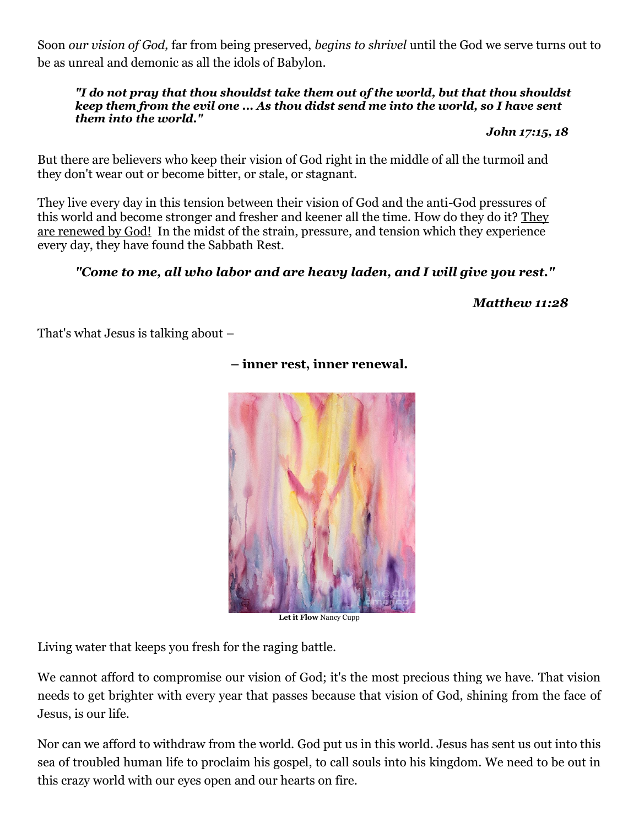Soon *our vision of God,* far from being preserved, *begins to shrivel* until the God we serve turns out to be as unreal and demonic as all the idols of Babylon.

#### *"I do not pray that thou shouldst take them out of the world, but that thou shouldst keep them from the evil one ... As thou didst send me into the world, so I have sent them into the world."*

*John 17:15, 18*

But there are believers who keep their vision of God right in the middle of all the turmoil and they don't wear out or become bitter, or stale, or stagnant.

They live every day in this tension between their vision of God and the anti-God pressures of this world and become stronger and fresher and keener all the time. How do they do it? They are renewed by God! In the midst of the strain, pressure, and tension which they experience every day, they have found the Sabbath Rest.

## *"Come to me, all who labor and are heavy laden, and I will give you rest."*

 *Matthew 11:28* 

That's what Jesus is talking about –



**– inner rest, inner renewal.** 

**Let it Flow** Nancy Cupp

Living water that keeps you fresh for the raging battle.

We cannot afford to compromise our vision of God; it's the most precious thing we have. That vision needs to get brighter with every year that passes because that vision of God, shining from the face of Jesus, is our life.

Nor can we afford to withdraw from the world. God put us in this world. Jesus has sent us out into this sea of troubled human life to proclaim his gospel, to call souls into his kingdom. We need to be out in this crazy world with our eyes open and our hearts on fire.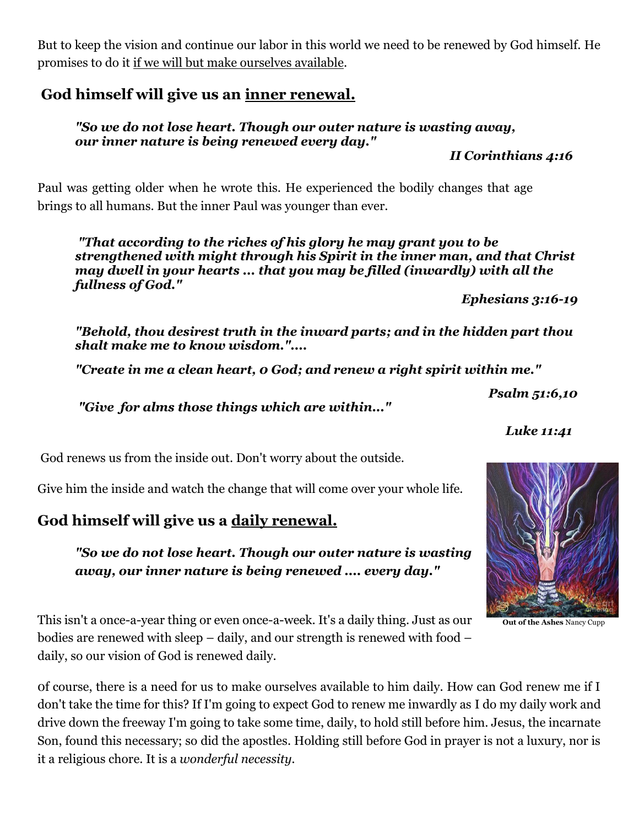But to keep the vision and continue our labor in this world we need to be renewed by God himself. He promises to do it if we will but make ourselves available.

## **God himself will give us an inner renewal.**

## *"So we do not lose heart. Though our outer nature is wasting away, our inner nature is being renewed every day."*

*II Corinthians 4:16*

Paul was getting older when he wrote this. He experienced the bodily changes that age brings to all humans. But the inner Paul was younger than ever.

*"That according to the riches of his glory he may grant you to be strengthened with might through his Spirit in the inner man, and that Christ may dwell in your hearts ... that you may be filled (inwardly) with all the fullness of God."* 

*Ephesians 3:16-19*

*"Behold, thou desirest truth in the inward parts; and in the hidden part thou shalt make me to know wisdom."....*

*"Create in me a clean heart, 0 God; and renew a right spirit within me."* 

*Psalm 51:6,10*

*"Give for alms those things which are within..."*

*Luke 11:41* 

God renews us from the inside out. Don't worry about the outside.

Give him the inside and watch the change that will come over your whole life.

## **God himself will give us a daily renewal.**

*"So we do not lose heart. Though our outer nature is wasting away, our inner nature is being renewed .... every day."*

**Out of the Ashes** Nancy Cupp

This isn't a once-a-year thing or even once-a-week. It's a daily thing. Just as our bodies are renewed with sleep – daily, and our strength is renewed with food – daily, so our vision of God is renewed daily.

0f course, there is a need for us to make ourselves available to him daily. How can God renew me if I don't take the time for this? If I'm going to expect God to renew me inwardly as I do my daily work and drive down the freeway I'm going to take some time, daily, to hold still before him. Jesus, the incarnate Son, found this necessary; so did the apostles. Holding still before God in prayer is not a luxury, nor is it a religious chore. It is a *wonderful necessity.*

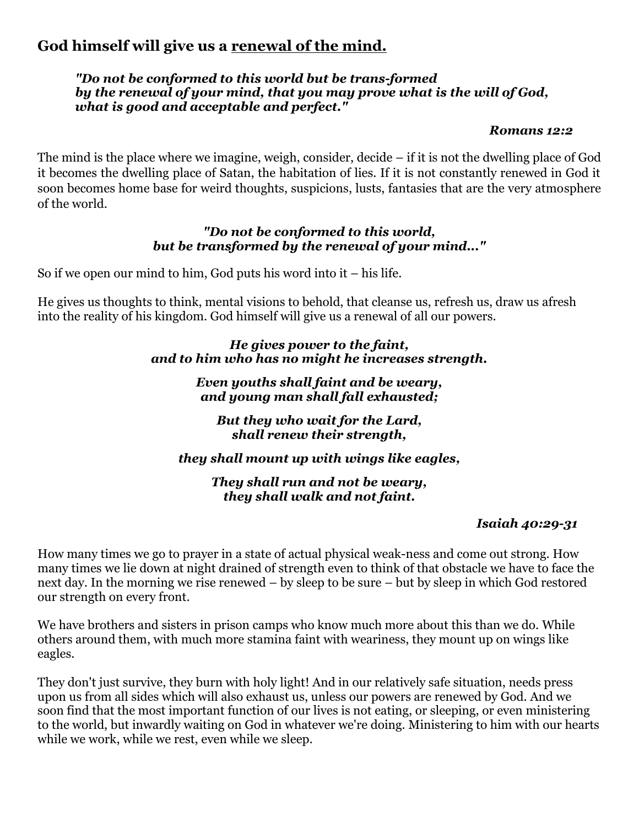## **God himself will give us a renewal of the mind.**

## *"Do not be conformed to this world but be trans-formed by the renewal of your mind, that you may prove what is the will of God, what is good and acceptable and perfect."*

### *Romans 12:2*

The mind is the place where we imagine, weigh, consider, decide – if it is not the dwelling place of God it becomes the dwelling place of Satan, the habitation of lies. If it is not constantly renewed in God it soon becomes home base for weird thoughts, suspicions, lusts, fantasies that are the very atmosphere of the world.

## *"Do not be conformed to this world, but be transformed by the renewal of your mind..."*

So if we open our mind to him, God puts his word into it – his life.

He gives us thoughts to think, mental visions to behold, that cleanse us, refresh us, draw us afresh into the reality of his kingdom. God himself will give us a renewal of all our powers.

> *He gives power to the faint, and to him who has no might he increases strength.*

> > *Even youths shall faint and be weary, and young man shall fall exhausted;*

*But they who wait for the Lard, shall renew their strength,*

*they shall mount up with wings like eagles,*

*They shall run and not be weary, they shall walk and not faint.*

## *Isaiah 40:29-31*

How many times we go to prayer in a state of actual physical weak-ness and come out strong. How many times we lie down at night drained of strength even to think of that obstacle we have to face the next day. In the morning we rise renewed – by sleep to be sure – but by sleep in which God restored our strength on every front.

We have brothers and sisters in prison camps who know much more about this than we do. While others around them, with much more stamina faint with weariness, they mount up on wings like eagles.

They don't just survive, they burn with holy light! And in our relatively safe situation, needs press upon us from all sides which will also exhaust us, unless our powers are renewed by God. And we soon find that the most important function of our lives is not eating, or sleeping, or even ministering to the world, but inwardly waiting on God in whatever we're doing. Ministering to him with our hearts while we work, while we rest, even while we sleep.